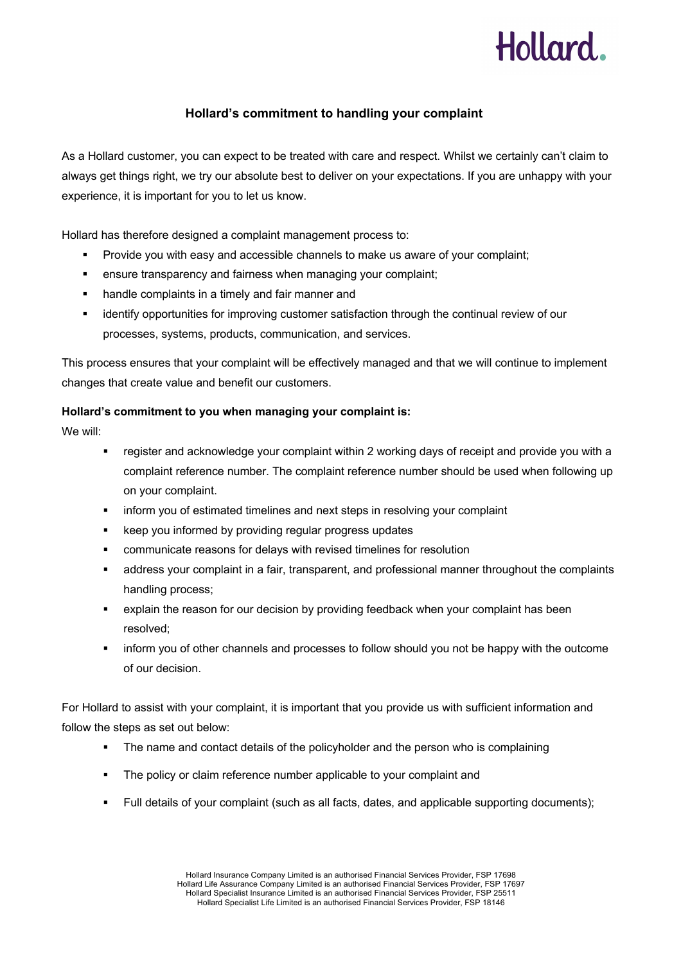

## **Hollard's commitment to handling your complaint**

As a Hollard customer, you can expect to be treated with care and respect. Whilst we certainly can't claim to always get things right, we try our absolute best to deliver on your expectations. If you are unhappy with your experience, it is important for you to let us know.

Hollard has therefore designed a complaint management process to:

- § Provide you with easy and accessible channels to make us aware of your complaint;
- **ensure transparency and fairness when managing your complaint;**
- **•** handle complaints in a timely and fair manner and
- § identify opportunities for improving customer satisfaction through the continual review of our processes, systems, products, communication, and services.

This process ensures that your complaint will be effectively managed and that we will continue to implement changes that create value and benefit our customers.

### **Hollard's commitment to you when managing your complaint is:**

We will:

- register and acknowledge your complaint within 2 working days of receipt and provide you with a complaint reference number. The complaint reference number should be used when following up on your complaint.
- inform you of estimated timelines and next steps in resolving your complaint
- keep you informed by providing regular progress updates
- communicate reasons for delays with revised timelines for resolution
- address your complaint in a fair, transparent, and professional manner throughout the complaints handling process;
- explain the reason for our decision by providing feedback when your complaint has been resolved;
- inform you of other channels and processes to follow should you not be happy with the outcome of our decision.

For Hollard to assist with your complaint, it is important that you provide us with sufficient information and follow the steps as set out below:

- The name and contact details of the policyholder and the person who is complaining
- The policy or claim reference number applicable to your complaint and
- § Full details of your complaint (such as all facts, dates, and applicable supporting documents);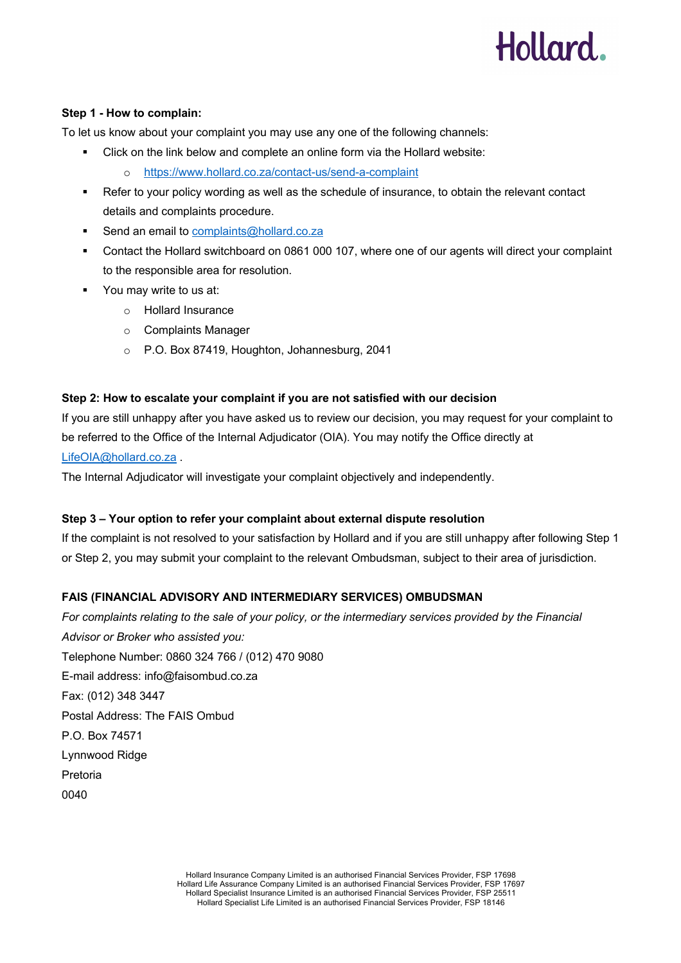## Hollard.

### **Step 1 - How to complain:**

To let us know about your complaint you may use any one of the following channels:

- Click on the link below and complete an online form via the Hollard website:
	- o https://www.hollard.co.za/contact-us/send-a-complaint
- Refer to your policy wording as well as the schedule of insurance, to obtain the relevant contact details and complaints procedure.
- Send an email to complaints@hollard.co.za
- § Contact the Hollard switchboard on 0861 000 107, where one of our agents will direct your complaint to the responsible area for resolution.
- § You may write to us at:
	- o Hollard Insurance
	- o Complaints Manager
	- o P.O. Box 87419, Houghton, Johannesburg, 2041

### **Step 2: How to escalate your complaint if you are not satisfied with our decision**

If you are still unhappy after you have asked us to review our decision, you may request for your complaint to be referred to the Office of the Internal Adjudicator (OIA). You may notify the Office directly at

LifeOIA@hollard.co.za.

The Internal Adjudicator will investigate your complaint objectively and independently.

## **Step 3 – Your option to refer your complaint about external dispute resolution**

If the complaint is not resolved to your satisfaction by Hollard and if you are still unhappy after following Step 1 or Step 2, you may submit your complaint to the relevant Ombudsman, subject to their area of jurisdiction.

## **FAIS (FINANCIAL ADVISORY AND INTERMEDIARY SERVICES) OMBUDSMAN**

*For complaints relating to the sale of your policy, or the intermediary services provided by the Financial Advisor or Broker who assisted you:* Telephone Number: 0860 324 766 / (012) 470 9080 E-mail address: info@faisombud.co.za Fax: (012) 348 3447 Postal Address: The FAIS Ombud P.O. Box 74571 Lynnwood Ridge Pretoria 0040